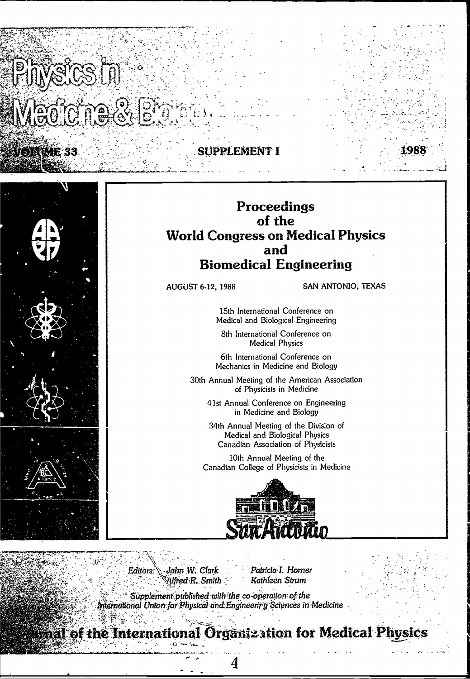DRWE 33



# Proceedings

EMENT I

## of the **World Congress on Medical Physics** and **Biomedical Engineering**

**AUGUST 6-12, 1988** 

SAN ANTONIO, TEXAS

15th International Conference on Medical and Biological Engineering

8th International Conference on **Medical Physics** 

6th International Conference on Mechanics in Medicine and Biology

30th Annual Meeting of the American Association of Physicists in Medicine

41st Annual Conference on Engineering in Medicine and Biology

34th Annual Meeting of the Division of Medical and Biological Physics Canadian Association of Physicists

10th Annual Meeting of the Canadian College of Physicists in Medicine



John W. Clark Editors: Alfred R. Smith Patricia I. Horner Kathleen Strum

Supplement published with the co-operation of the International Union for Physical and Engineerity Sciences in Medicine

**First of the International Organization for Medical Physics** 

4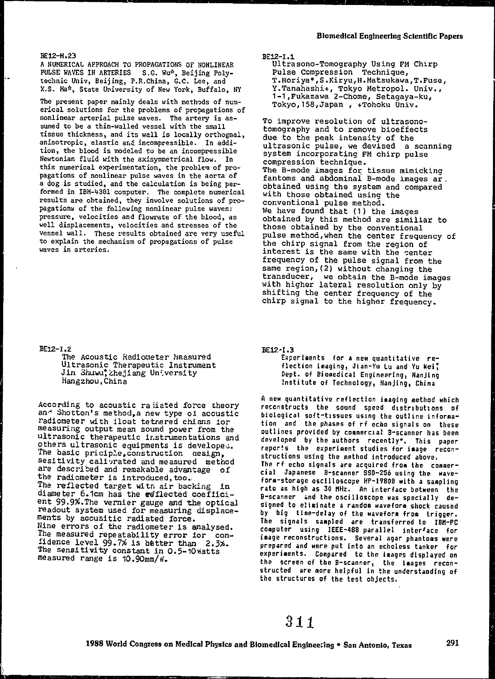#### RF12-H.23

A NUMERICAL APPROACH TO PROPAGATIONS OF NONLINEAR PULSE WAVES IN ARTERIES S.G. Wu\*, Beijing Polytechnic Univ, Beijing, P.R.China, G.C. Lee, and X.S. Ma\*, State University of New York, Buffalo, NY

The present paper mainly deals with methods of numerical solutions for the problems of propagations of nonlinear arterial pulse waves. The artery is assumed to be a thin-walled vessel with the small tissue thickness, and its wall is locally orthognal, anisotropic, elastic and incompressible. In addition, the blood is modeled to be an incompressible Newtonian fluid with the axisymmetrical flow. In this numerical experimentation, the problem of propagations of nonlinear pulse waves in the aorta of a dog is studied, and the calculation is being performed in IBM-4381 computer. The complete numerical results are obtained, they involve solutions of propagations of the following nonlinear pulse waves: pressure, velocities and flowrate of the blood, as well displacements, velocities and stresses of the vessel wall. These results obtained are very useful to explain the mechanism of propagations of pulse waves in arteries.

#### $BE12-1.2$

The Acoustic Radiometer Measured Ultrasonic Therapeutic Instrument<br>Jin Shuwu, Zhejiang Un'versity Hangzhou, China

According to acoustic radiated force theory and Shotton's method, a new type of acoustic radiometer with float tetnered chians for<br>measuring output mean sound power from the ultrasonic therapeutic instrumentations and others ultrasonic equipments is developed. The basic priciple, construction design, sesitivity calivrated and measured method are described and remakable advantage of the radiometer is introduced, too. The reflected target with air backing in diameter 6.1cm has the edflected coefficient 99.9%. The vermier gauge and the optical readout system used for measuring displacements by acousitic radiated force. Mine errors of the radiometer is analysed. The measured repeatability error for confidence level 99.7% is better than 2.3%. The sensitivity constant in 0.5-10 watts measured range is 10.90mm/W.

BE12-I.1

Ultrasono-Tomography Using FM Chirp Pulse Compression Technique, T.Moriya\*, S.Kiryu, H.Matsukawa, T.Fuse, Y. Tanahashi+, Tokyo Metropol. Univ.,<br>1-1, Fukazawa 2-Chome, Setagaya-ku, Tokyo, 158, Japan, +Tohoku Univ.

To improve resolution of ultrasonotomography and to remove bioeffects due to the peak intensity of the ultrasonic pulse, we devised a scanning system incorporating FM chirp pulse compression technique. The B-mode images for tissue mimicking<br>fantoms and abdominal B-mode images ar. obtained using the system and compared with those obtained using the conventional pulse method. We have found that (1) the images obtained by this method are similiar to those obtained by the conventional<br>pulse method, when the center frequency of<br>the chirp signal from the region of interest is the same with the center frequency of the pulse signal from the same region, (2) without changing the transducer, we obtain the B-mode images<br>with higher lateral resolution only by shifting the center frequency of the chirp signal to the higher frequency.

BE12-1.3

Experiments for a new quantitative reflection imaging, Jian-Yu Lu and Yu Wei, Dept. of Biomedical Engineering, Nanjing Institute of Technology, Nanjing, China

A new quantitative reflection imaging method which reconstructs the sound speed distributions of biological soft-tissues using the outline information and the phases of rf echo signals on these outlines provided by commercial B-scanner has been developed by the authors recently\*. This paper reports the experiment studies for image reconstructions using the method introduced above. The rf echo signals are acquired from the commercial Japanese B-scanner SSD-256 using the waveform-storage oscilloscope HP-1980B with a sampling rate as high as 30 MHz. An interface between the B-scanner and the oscilloscope was specially designed to eliminate a random waveform shock caused by big time-delay of the waveform from trigger. The signals sampled are transferred to IBM-PC computer using IEEE-488 parallel interface for<br>image reconstructions. Several agar phantoms were prepared and were put into an echoless tanker for experiments. Compared to the laages displayed on the screen of the B-scanner, the jaages recon-<br>structed are nore helpful in the understanding of the structures of the test objects.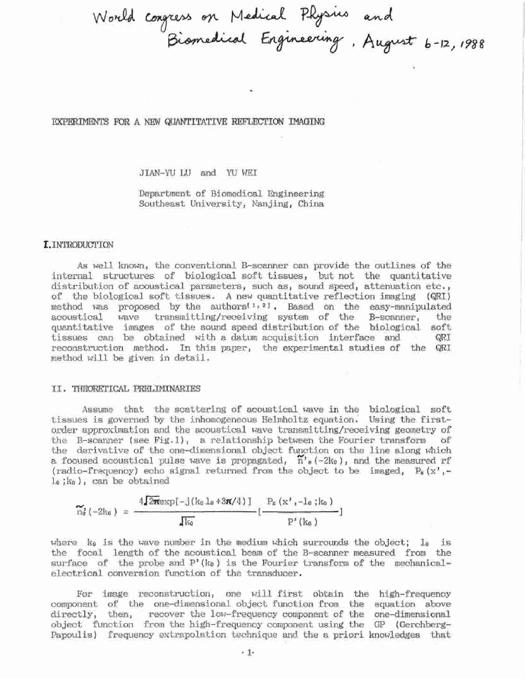World congress on Medical Physics and<br>Biomedical Engineering, August 6-12, 1988

EXPERIMENTS FOR A NEW QUANTITATIVE REFLECTION IMAGING

JIAN-YU LU and YU WEI

Department of Biomedical Engineering Southeast University, Nanjing, China

#### I. INTRODUCTION

As well known, the conventional B-scanner can provide the outlines of the internal structures of biological soft tissues, but not the quantitative distribution of acoustical parameters, such as, sound speed, attenuation etc., of the biological soft tissues. A new quantitative reflection imaging (QRI) method was proposed by the authors<sup> $1, 2$ </sup>. Based on the easy-manipulated wave transmitting/receiving system of the B-scanner, acoustical the quantitative images of the sound speed distribution of the biological soft tissues can be obtained with a datum acquisition interface and QRI reconstruction method. In this paper, the experimental studies of the QRI method will be given in detail.

#### II. THRORETICAL PRELIMINARIES

Assume that the scattering of acoustical wave in the biological soft tissues is governed by the inhomogeneous Helmholtz equation. Using the firstorder approximation and the acoustical wave transmitting/receiving geometry of the B-scanner (see Fig.1), a relationship between the Fourier transform of the derivative of the one-dimensional object function on the line along which a focused acoustical pulse wave is propagated,  $n'_{e}(-2k_{0})$ , and the measured rf (radio-frequency) echo signal returned from the object to be imaged,  $P_a(x)$ , $l_0$ ;  $k_0$ ), can be obtained

$$
\widetilde{n}_{\alpha}^{j}(-2k_{\alpha}) = \frac{4\sqrt{2\pi} \exp[-j(k_{0} \ln \frac{4}{3}\pi/4)]}{\sqrt{k_{0}}} [\frac{P_{n}(x^{j},-1_{0};k_{0})}{P^{j}(k_{0})}]
$$

where  $k_0$  is the wave number in the medium which surrounds the object; lo is the focal length of the acoustical beam of the B-scanner measured from the surface of the probe and  $P'(k_0)$  is the Fourier transform of the mechanicalelectrical conversion function of the transducer.

For image reconstruction, one will first obtain the high-frequency component of the one-dimensional object function from the equation above directly, then, recover the low-frequency component of the one-dimensional object function from the high-frequency component using the GP (Gerchberg-Papoulis) frequency extrapolation technique and the a priori knowledges that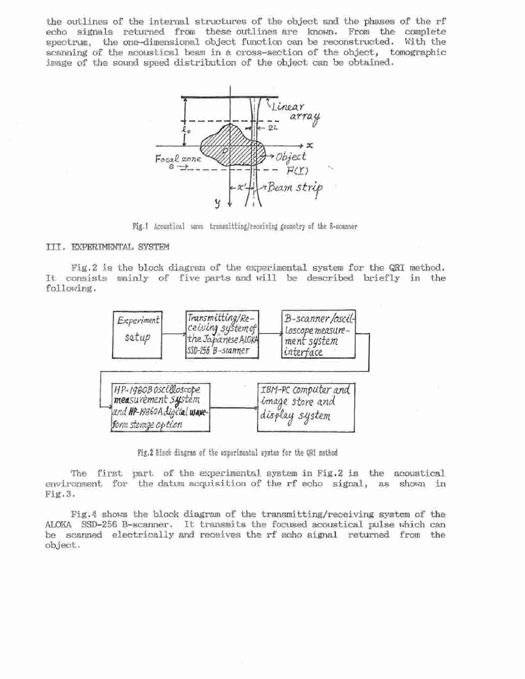the outlines of the internal structures of the object and the phases of the rf echo signals returned from these outlines are known. From the complete spectrum, the one-dimensional object function can be reconstructed. With the scanning of the acoustical beam in a cross-section of the object, tomographic image of the sound speed distribution of the object can be obtained.



Fig.1 Acoustical wave transmitting/receiving geometry of the B-scanner

#### III. EXPERIMENTAL SYSTEM

Fig.2 is the block diagram of the experimental system for the QRI method. It consists mainly of five parts and will be described briefly in the following.



Fig.2 Block dingram of the experimental system for the QRI method

The first part of the experimental system in Fig.2 is the acoustical environment for the datum acquisition of the rf echo signal, as shown in  $Fig.3.$ 

Fig.4 shows the block diagram of the transmitting/receiving system of the ALOKA SSD-256 B-scanner. It transmits the focused acoustical pulse which can be scanned electrically and receives the rf echo signal returned from the object.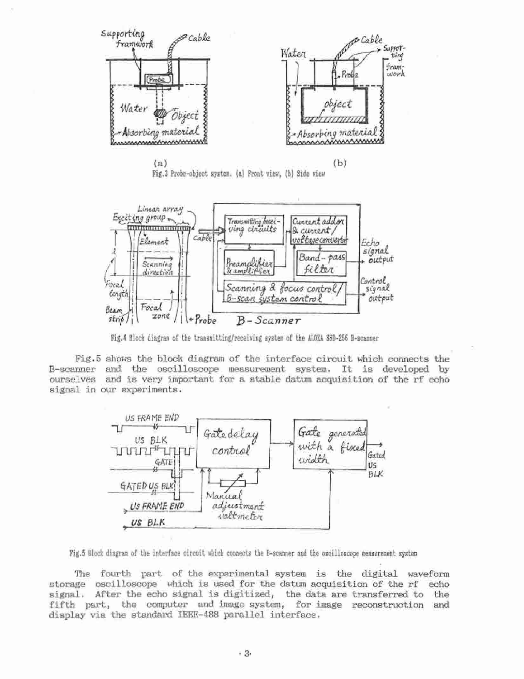





Fig.4 Block diagram of the transmitting/receiving system of the ALOXA SSD-256 B-scanner

Fig.5 shows the block diagram of the interface circuit which connects the B-scanner and the oscilloscope measurement system. It is developed by ourselves and is very important for a stable datum acquisition of the rf echo signal in our experiments.



Fig.5 Block diagram of the interface circuit which connects the B-scanner and the oscilloscope neasurement system

The fourth part of the experimental system is the digital waveform storage oscilloscope which is used for the datum acquisition of the rf echo signal. After the echo signal is digitized, the data are transferred to the fifth part, the computer and image system, for image reconstruction and display via the standard IEEE-488 parallel interface.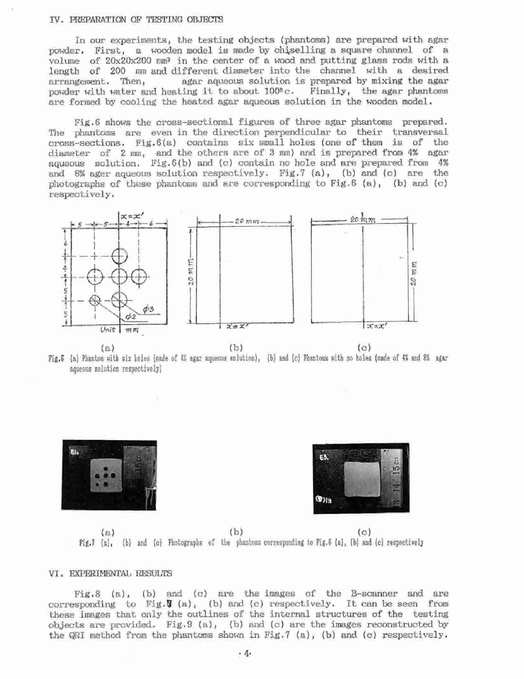#### IV. PREPARATION OF TESTING OBJECTS

In our experiments, the testing objects (phantoms) are prepared with agar powder. First, a wooden model is made by chiselling a square channel of a volume of 20x20x200 mm<sup>3</sup> in the center of a wood and putting glass rods with a length of 200 mm and different diameter into the channel with a desired arrangement. Then, agar aqueous solution is prepared by mixing the agar powder with water and heating it to about 100°c. Finally, the agar phantoms are formed by cooling the heated agar aqueous solution in the wooden model.

Fig.6 shows the cross-sectional figures of three agar phantoms prepared. The phantoms are even in the direction perpendicular to their transversal cross-sections. Fig. 6(a) contains six small holes (one of them is of the diameter of 2 mm, and the others are of 3 mm) and is prepared from 4% agar aqueous solution. Fig. 6(b) and (c) contain no hole and are prepared from 4% and 8% ager aqueous solution respectively. Fig.7 (a), (b) and (c) are the photographs of these phantoms and are corresponding to Fig.  $6$  (a), (b) and (c) respectively.



 $(a)$ Fig.6 (a) Phantos with six holes (made of 4% agar aqueous solution). (b) and (c) Phantons with no boles (made of 4% and 8% agar aqueous solution respectively)





 $(b)$  $(a)$  $(c)$ Fig.7 (a), (b) and (c) Photographs of the phantoms corresponding to Fig. 6 (a), (b) and (c) respectively

### VI. EXPERIMENTAL RESULTS

 $Fix, 8$  (a), (b) and (c) are the images of the B-scanner and are corresponding to Fig.  $J(a)$ , (b) and (c) respectively. It can be seen from these images that only the outlines of the internal structures of the testing objects are provided. Fig.9 (a), (b) and (c) are the images reconstructed by the QRI method from the phantoms shown in Fig.7 (a), (b) and (c) respectively.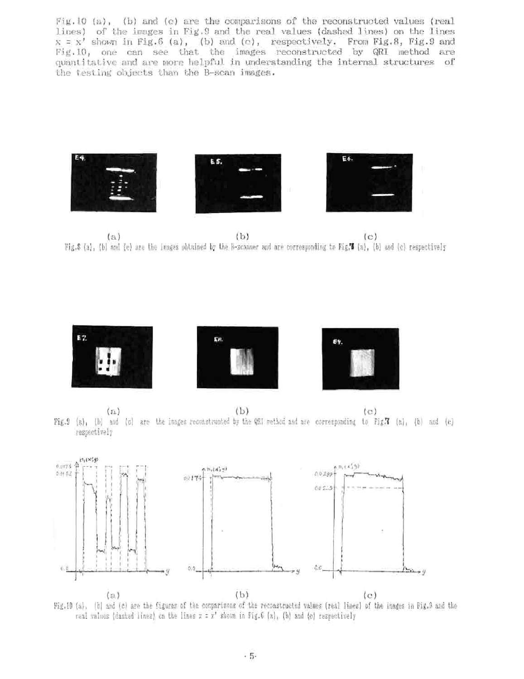Fig. 10 (a), (b) and (c) are the comparisons of the reconstructed values (real lines) of the images in Fig. 9 and the real values (dashed lines) on the lines  $x = x'$  shown in Fig. 6 (a), (b) and (c), respectively. From Fig. 8, Fig. 9 and Fig.10, one can see that the images reconstructed by QRI method are quantitative and are more helpful in understanding the internal structures of the testing objects than the B-scan images.



 $(b)$  $(a)$  $(c)$ Fig.8 (a), (b) and (c) are the images phinined by the B-zeanner and are corresponding to Fig.W (a), (b) and (c) respectively



 $(b)$  $(n)$  $(c)$ Fig.9 (a), (b) and (c) are the images reconstructed by the QRI wethod and are corresponding to Fig.7 (a), (b) and (c) respectively



Fig.10 (s), (b) and (c) are the figures of the comparisons of the reconstructed values (real lines) of the images in Fig.9 and the real values (dashed lines) on the lines  $x = x'$  shown in Fig. 6 (a), (b) and (c) respectively